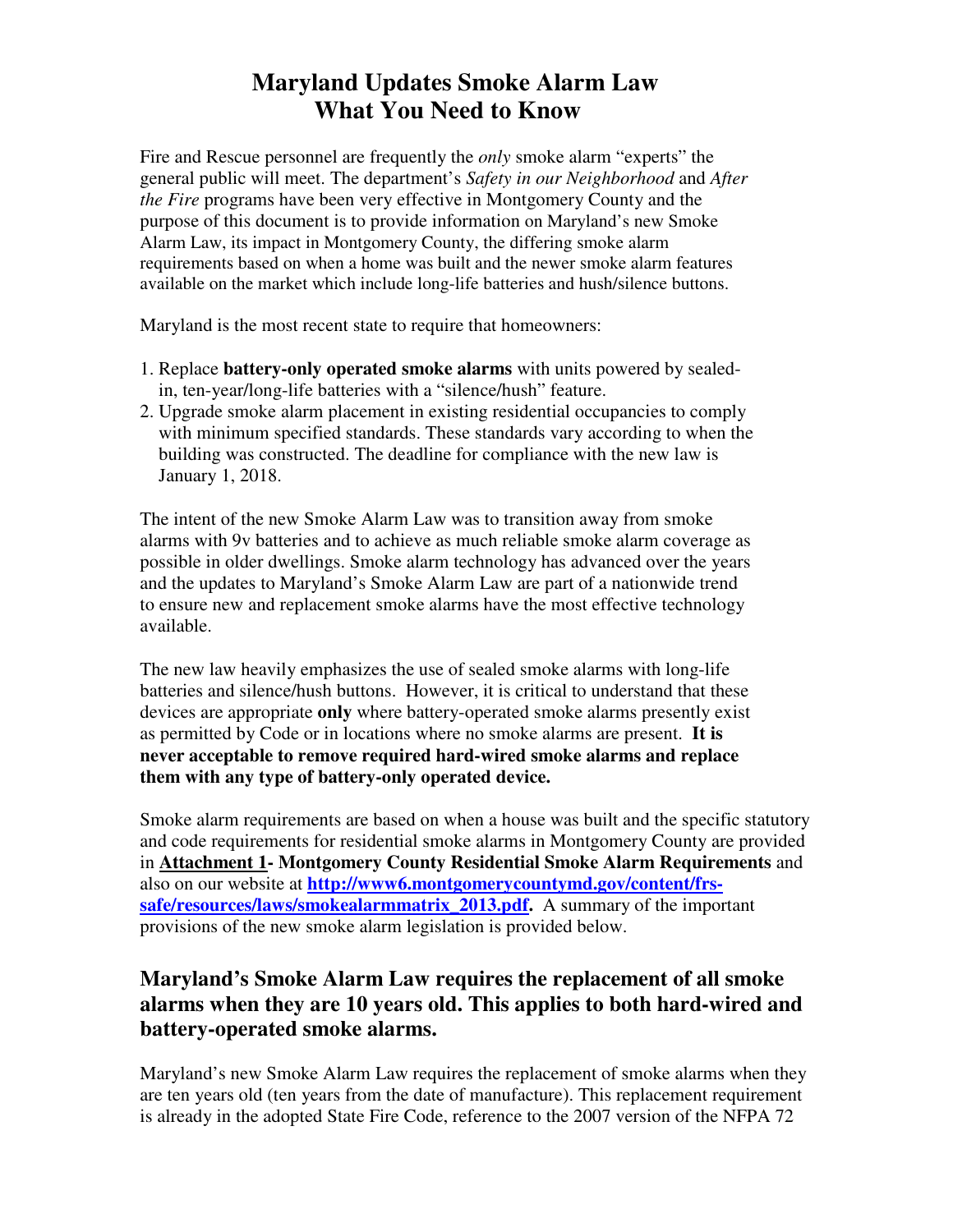# **Maryland Updates Smoke Alarm Law What You Need to Know**

Fire and Rescue personnel are frequently the *only* smoke alarm "experts" the general public will meet. The department's *Safety in our Neighborhood* and *After the Fire* programs have been very effective in Montgomery County and the purpose of this document is to provide information on Maryland's new Smoke Alarm Law, its impact in Montgomery County, the differing smoke alarm requirements based on when a home was built and the newer smoke alarm features available on the market which include long-life batteries and hush/silence buttons.

Maryland is the most recent state to require that homeowners:

- 1. Replace **battery-only operated smoke alarms** with units powered by sealed in, ten-year/long-life batteries with a "silence/hush" feature.
- 2. Upgrade smoke alarm placement in existing residential occupancies to comply with minimum specified standards. These standards vary according to when the building was constructed. The deadline for compliance with the new law is January 1, 2018.

The intent of the new Smoke Alarm Law was to transition away from smoke alarms with 9v batteries and to achieve as much reliable smoke alarm coverage as possible in older dwellings. Smoke alarm technology has advanced over the years and the updates to Maryland's Smoke Alarm Law are part of a nationwide trend to ensure new and replacement smoke alarms have the most effective technology available.

The new law heavily emphasizes the use of sealed smoke alarms with long-life batteries and silence/hush buttons. However, it is critical to understand that these devices are appropriate **only** where battery-operated smoke alarms presently exist as permitted by Code or in locations where no smoke alarms are present. **It is never acceptable to remove required hard-wired smoke alarms and replace them with any type of battery-only operated device.** 

Smoke alarm requirements are based on when a house was built and the specific statutory and code requirements for residential smoke alarms in Montgomery County are provided in **Attachment 1- Montgomery County Residential Smoke Alarm Requirements** and also on our website at **http://www6.montgomerycountymd.gov/content/frssafe/resources/laws/smokealarmmatrix\_2013.pdf.** A summary of the important provisions of the new smoke alarm legislation is provided below.

# **Maryland's Smoke Alarm Law requires the replacement of all smoke alarms when they are 10 years old. This applies to both hard-wired and battery-operated smoke alarms.**

Maryland's new Smoke Alarm Law requires the replacement of smoke alarms when they are ten years old (ten years from the date of manufacture). This replacement requirement is already in the adopted State Fire Code, reference to the 2007 version of the NFPA 72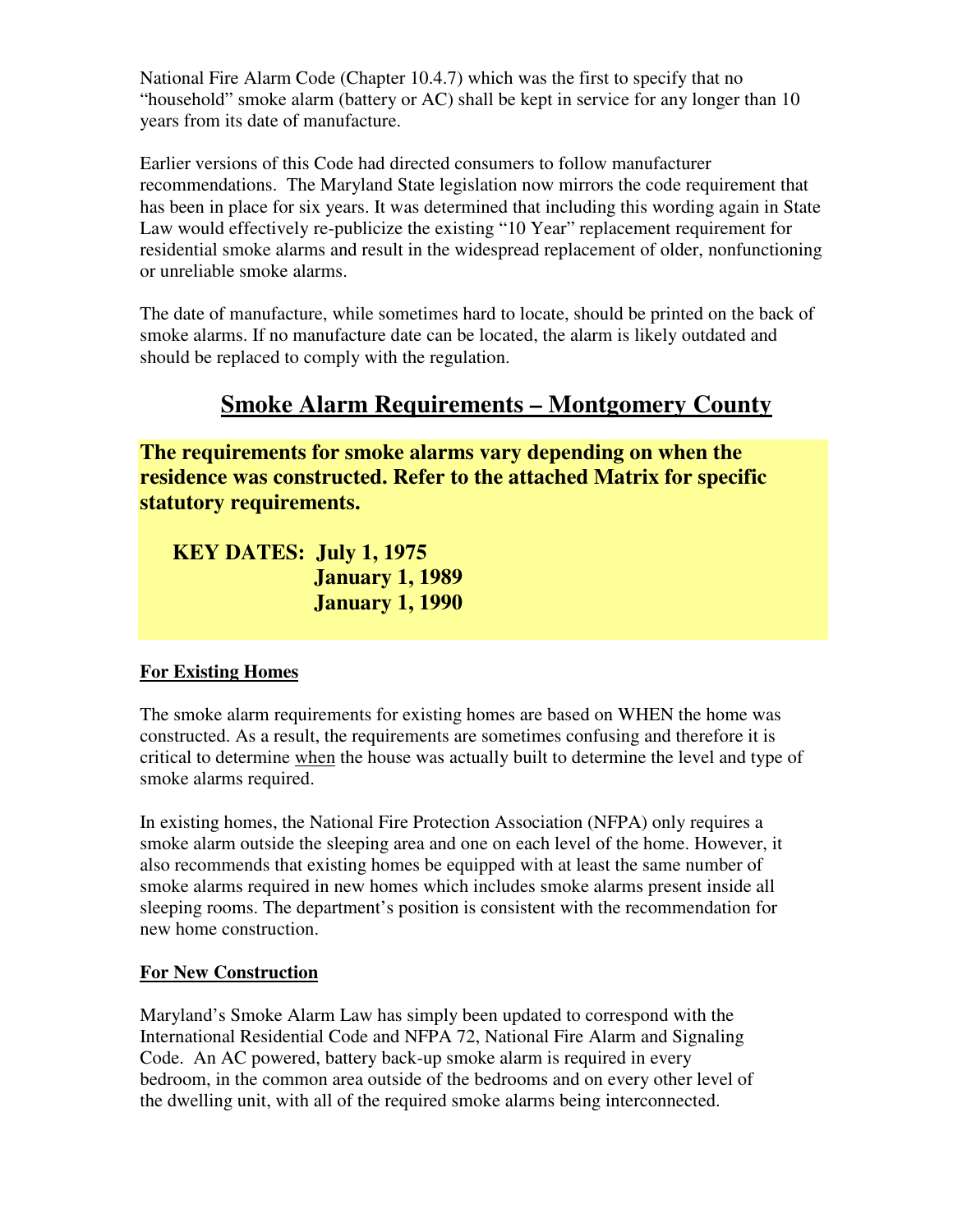National Fire Alarm Code (Chapter 10.4.7) which was the first to specify that no "household" smoke alarm (battery or AC) shall be kept in service for any longer than 10 years from its date of manufacture.

Earlier versions of this Code had directed consumers to follow manufacturer recommendations. The Maryland State legislation now mirrors the code requirement that has been in place for six years. It was determined that including this wording again in State Law would effectively re-publicize the existing "10 Year" replacement requirement for residential smoke alarms and result in the widespread replacement of older, nonfunctioning or unreliable smoke alarms.

The date of manufacture, while sometimes hard to locate, should be printed on the back of smoke alarms. If no manufacture date can be located, the alarm is likely outdated and should be replaced to comply with the regulation.

# **Smoke Alarm Requirements – Montgomery County**

**The requirements for smoke alarms vary depending on when the residence was constructed. Refer to the attached Matrix for specific statutory requirements.** 

 **KEY DATES: July 1, 1975 January 1, 1989 January 1, 1990** 

#### **For Existing Homes**

The smoke alarm requirements for existing homes are based on WHEN the home was constructed. As a result, the requirements are sometimes confusing and therefore it is critical to determine when the house was actually built to determine the level and type of smoke alarms required.

In existing homes, the National Fire Protection Association (NFPA) only requires a smoke alarm outside the sleeping area and one on each level of the home. However, it also recommends that existing homes be equipped with at least the same number of smoke alarms required in new homes which includes smoke alarms present inside all sleeping rooms. The department's position is consistent with the recommendation for new home construction.

#### **For New Construction**

Maryland's Smoke Alarm Law has simply been updated to correspond with the International Residential Code and NFPA 72, National Fire Alarm and Signaling Code. An AC powered, battery back-up smoke alarm is required in every bedroom, in the common area outside of the bedrooms and on every other level of the dwelling unit, with all of the required smoke alarms being interconnected.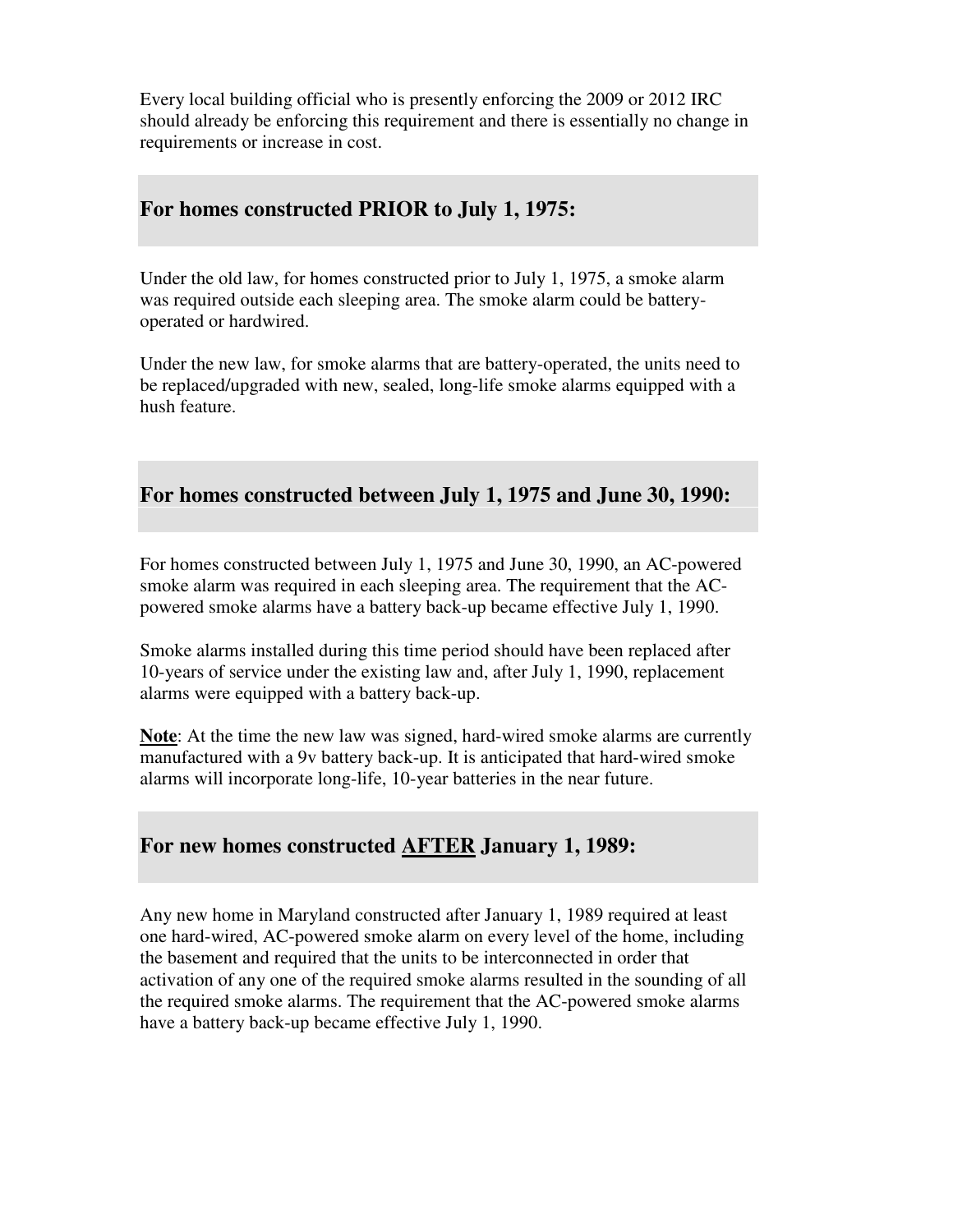Every local building official who is presently enforcing the 2009 or 2012 IRC should already be enforcing this requirement and there is essentially no change in requirements or increase in cost.

#### **For homes constructed PRIOR to July 1, 1975:**

Under the old law, for homes constructed prior to July 1, 1975, a smoke alarm was required outside each sleeping area. The smoke alarm could be batteryoperated or hardwired.

Under the new law, for smoke alarms that are battery-operated, the units need to be replaced/upgraded with new, sealed, long-life smoke alarms equipped with a hush feature.

#### **For homes constructed between July 1, 1975 and June 30, 1990:**

For homes constructed between July 1, 1975 and June 30, 1990, an AC-powered smoke alarm was required in each sleeping area. The requirement that the ACpowered smoke alarms have a battery back-up became effective July 1, 1990.

Smoke alarms installed during this time period should have been replaced after 10-years of service under the existing law and, after July 1, 1990, replacement alarms were equipped with a battery back-up.

**Note**: At the time the new law was signed, hard-wired smoke alarms are currently manufactured with a 9v battery back-up. It is anticipated that hard-wired smoke alarms will incorporate long-life, 10-year batteries in the near future.

### **For new homes constructed AFTER January 1, 1989:**

Any new home in Maryland constructed after January 1, 1989 required at least one hard-wired, AC-powered smoke alarm on every level of the home, including the basement and required that the units to be interconnected in order that activation of any one of the required smoke alarms resulted in the sounding of all the required smoke alarms. The requirement that the AC-powered smoke alarms have a battery back-up became effective July 1, 1990.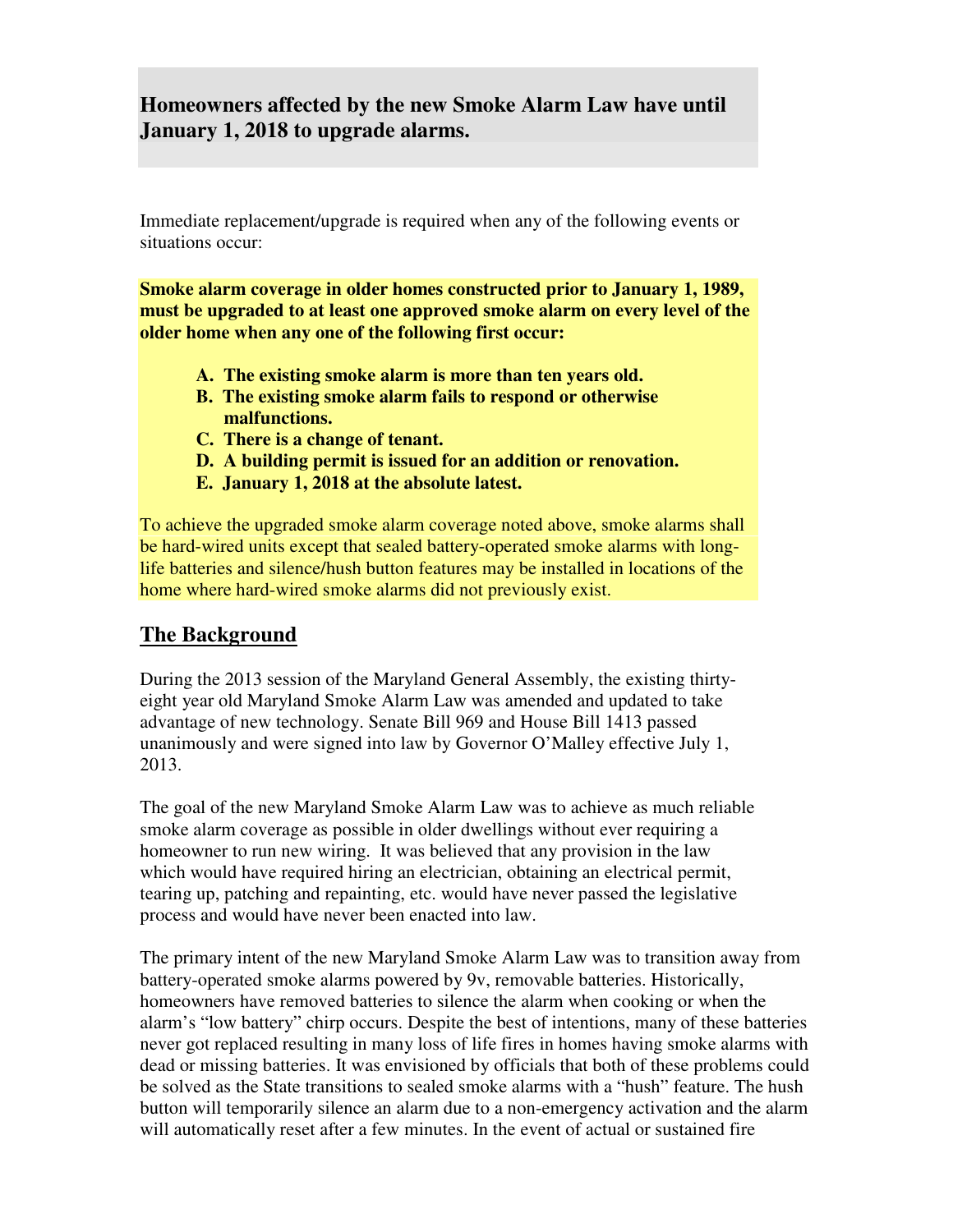### **Homeowners affected by the new Smoke Alarm Law have until January 1, 2018 to upgrade alarms.**

Immediate replacement/upgrade is required when any of the following events or situations occur:

**Smoke alarm coverage in older homes constructed prior to January 1, 1989, must be upgraded to at least one approved smoke alarm on every level of the older home when any one of the following first occur:** 

- **A. The existing smoke alarm is more than ten years old.**
- **B. The existing smoke alarm fails to respond or otherwise malfunctions.**
- **C. There is a change of tenant.**
- **D. A building permit is issued for an addition or renovation.**
- **E. January 1, 2018 at the absolute latest.**

To achieve the upgraded smoke alarm coverage noted above, smoke alarms shall be hard-wired units except that sealed battery-operated smoke alarms with longlife batteries and silence/hush button features may be installed in locations of the home where hard-wired smoke alarms did not previously exist.

#### **The Background**

During the 2013 session of the Maryland General Assembly, the existing thirtyeight year old Maryland Smoke Alarm Law was amended and updated to take advantage of new technology. Senate Bill 969 and House Bill 1413 passed unanimously and were signed into law by Governor O'Malley effective July 1, 2013.

The goal of the new Maryland Smoke Alarm Law was to achieve as much reliable smoke alarm coverage as possible in older dwellings without ever requiring a homeowner to run new wiring. It was believed that any provision in the law which would have required hiring an electrician, obtaining an electrical permit, tearing up, patching and repainting, etc. would have never passed the legislative process and would have never been enacted into law.

The primary intent of the new Maryland Smoke Alarm Law was to transition away from battery-operated smoke alarms powered by 9v, removable batteries. Historically, homeowners have removed batteries to silence the alarm when cooking or when the alarm's "low battery" chirp occurs. Despite the best of intentions, many of these batteries never got replaced resulting in many loss of life fires in homes having smoke alarms with dead or missing batteries. It was envisioned by officials that both of these problems could be solved as the State transitions to sealed smoke alarms with a "hush" feature. The hush button will temporarily silence an alarm due to a non-emergency activation and the alarm will automatically reset after a few minutes. In the event of actual or sustained fire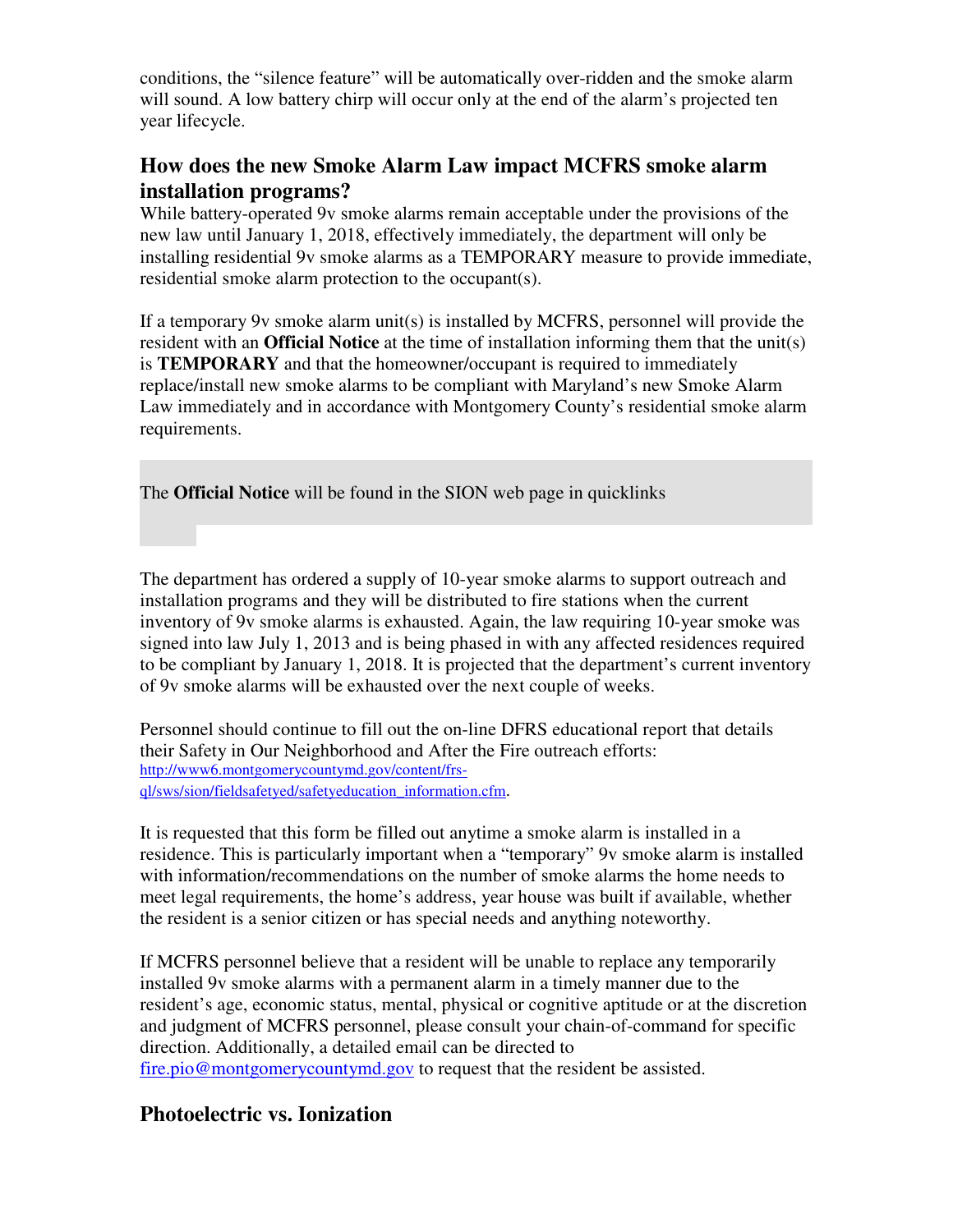conditions, the "silence feature" will be automatically over-ridden and the smoke alarm will sound. A low battery chirp will occur only at the end of the alarm's projected ten year lifecycle.

### **How does the new Smoke Alarm Law impact MCFRS smoke alarm installation programs?**

While battery-operated 9v smoke alarms remain acceptable under the provisions of the new law until January 1, 2018, effectively immediately, the department will only be installing residential 9v smoke alarms as a TEMPORARY measure to provide immediate, residential smoke alarm protection to the occupant(s).

If a temporary 9v smoke alarm unit(s) is installed by MCFRS, personnel will provide the resident with an **Official Notice** at the time of installation informing them that the unit(s) is **TEMPORARY** and that the homeowner/occupant is required to immediately replace/install new smoke alarms to be compliant with Maryland's new Smoke Alarm Law immediately and in accordance with Montgomery County's residential smoke alarm requirements.

The **Official Notice** will be found in the SION web page in quicklinks

The department has ordered a supply of 10-year smoke alarms to support outreach and installation programs and they will be distributed to fire stations when the current inventory of 9v smoke alarms is exhausted. Again, the law requiring 10-year smoke was signed into law July 1, 2013 and is being phased in with any affected residences required to be compliant by January 1, 2018. It is projected that the department's current inventory of 9v smoke alarms will be exhausted over the next couple of weeks.

Personnel should continue to fill out the on-line DFRS educational report that details their Safety in Our Neighborhood and After the Fire outreach efforts: http://www6.montgomerycountymd.gov/content/frsql/sws/sion/fieldsafetyed/safetyeducation\_information.cfm.

It is requested that this form be filled out anytime a smoke alarm is installed in a residence. This is particularly important when a "temporary" 9v smoke alarm is installed with information/recommendations on the number of smoke alarms the home needs to meet legal requirements, the home's address, year house was built if available, whether the resident is a senior citizen or has special needs and anything noteworthy.

If MCFRS personnel believe that a resident will be unable to replace any temporarily installed 9v smoke alarms with a permanent alarm in a timely manner due to the resident's age, economic status, mental, physical or cognitive aptitude or at the discretion and judgment of MCFRS personnel, please consult your chain-of-command for specific direction. Additionally, a detailed email can be directed to fire.pio@montgomerycountymd.gov to request that the resident be assisted.

# **Photoelectric vs. Ionization**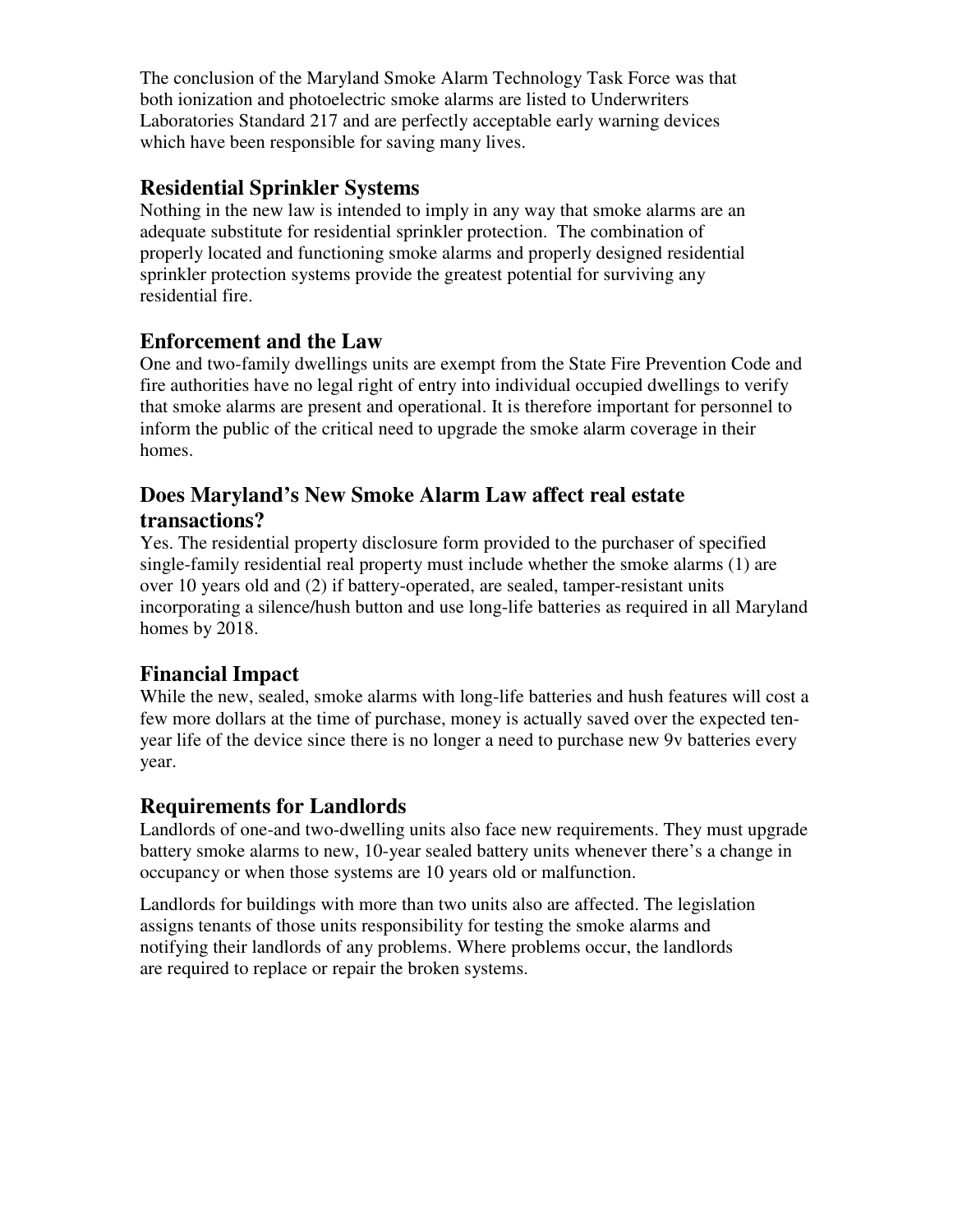The conclusion of the Maryland Smoke Alarm Technology Task Force was that both ionization and photoelectric smoke alarms are listed to Underwriters Laboratories Standard 217 and are perfectly acceptable early warning devices which have been responsible for saving many lives.

### **Residential Sprinkler Systems**

Nothing in the new law is intended to imply in any way that smoke alarms are an adequate substitute for residential sprinkler protection. The combination of properly located and functioning smoke alarms and properly designed residential sprinkler protection systems provide the greatest potential for surviving any residential fire.

### **Enforcement and the Law**

One and two-family dwellings units are exempt from the State Fire Prevention Code and fire authorities have no legal right of entry into individual occupied dwellings to verify that smoke alarms are present and operational. It is therefore important for personnel to inform the public of the critical need to upgrade the smoke alarm coverage in their homes.

### **Does Maryland's New Smoke Alarm Law affect real estate transactions?**

Yes. The residential property disclosure form provided to the purchaser of specified single-family residential real property must include whether the smoke alarms (1) are over 10 years old and (2) if battery-operated, are sealed, tamper-resistant units incorporating a silence/hush button and use long-life batteries as required in all Maryland homes by 2018.

# **Financial Impact**

While the new, sealed, smoke alarms with long-life batteries and hush features will cost a few more dollars at the time of purchase, money is actually saved over the expected tenyear life of the device since there is no longer a need to purchase new 9v batteries every year.

### **Requirements for Landlords**

Landlords of one-and two-dwelling units also face new requirements. They must upgrade battery smoke alarms to new, 10-year sealed battery units whenever there's a change in occupancy or when those systems are 10 years old or malfunction.

Landlords for buildings with more than two units also are affected. The legislation assigns tenants of those units responsibility for testing the smoke alarms and notifying their landlords of any problems. Where problems occur, the landlords are required to replace or repair the broken systems.